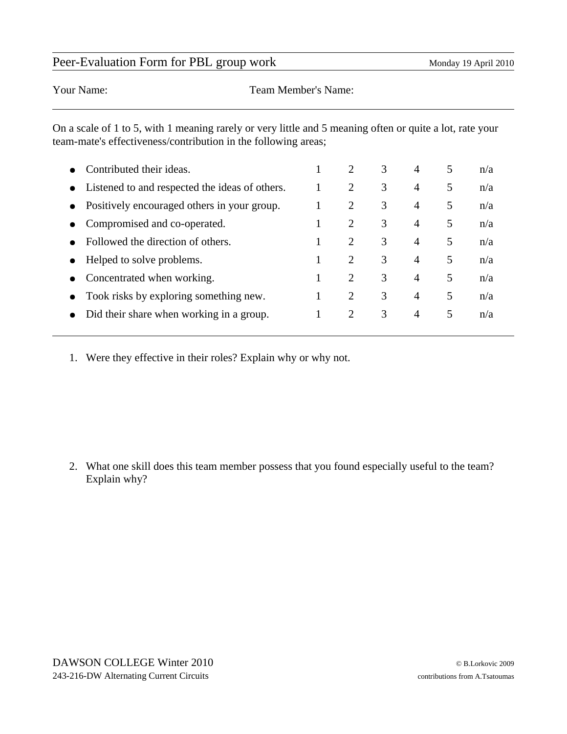## Peer-Evaluation Form for PBL group work Monday 19 April 2010

Your Name: Team Member's Name:

On a scale of 1 to 5, with 1 meaning rarely or very little and 5 meaning often or quite a lot, rate your team-mate's effectiveness/contribution in the following areas;

|           | Contributed their ideas.                       | 2              | 3 | $\overline{4}$ | 5 | n/a |
|-----------|------------------------------------------------|----------------|---|----------------|---|-----|
| $\bullet$ | Listened to and respected the ideas of others. | 2              | 3 | $\overline{4}$ | 5 | n/a |
| $\bullet$ | Positively encouraged others in your group.    | 2              | 3 | $\overline{4}$ | 5 | n/a |
| $\bullet$ | Compromised and co-operated.                   | $\overline{2}$ | 3 | 4              | 5 | n/a |
|           | Followed the direction of others.              | $\overline{2}$ | 3 | 4              | 5 | n/a |
|           | Helped to solve problems.                      | 2              | 3 | 4              | 5 | n/a |
|           | Concentrated when working.                     | 2              | 3 | 4              | 5 | n/a |
|           | Took risks by exploring something new.         | $\overline{2}$ | 3 | 4              | 5 | n/a |
|           | Did their share when working in a group.       | $\overline{2}$ | 3 | 4              | 5 | n/a |
|           |                                                |                |   |                |   |     |

1. Were they effective in their roles? Explain why or why not.

2. What one skill does this team member possess that you found especially useful to the team? Explain why?